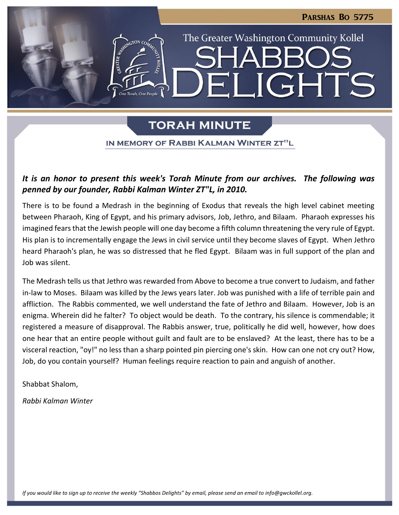LIGHTS

The Greater Washington Community Kollel

# **TORAH MINUTE**

IN MEMORY OF RABBI KALMAN WINTER ZT"L

## *It is an honor to present this week's Torah Minute from our archives. The following was penned by our founder, Rabbi Kalman Winter ZT"L, in 2010.*

There is to be found a Medrash in the beginning of Exodus that reveals the high level cabinet meeting between Pharaoh, King of Egypt, and his primary advisors, Job, Jethro, and Bilaam. Pharaoh expresses his imagined fears that the Jewish people will one day become a fifth column threatening the very rule of Egypt. His plan is to incrementally engage the Jews in civil service until they become slaves of Egypt. When Jethro heard Pharaoh's plan, he was so distressed that he fled Egypt. Bilaam was in full support of the plan and Job was silent.

The Medrash tells us that Jethro was rewarded from Above to become a true convert to Judaism, and father in-law to Moses. Bilaam was killed by the Jews years later. Job was punished with a life of terrible pain and affliction. The Rabbis commented, we well understand the fate of Jethro and Bilaam. However, Job is an enigma. Wherein did he falter? To object would be death. To the contrary, his silence is commendable; it registered a measure of disapproval. The Rabbis answer, true, politically he did well, however, how does one hear that an entire people without guilt and fault are to be enslaved? At the least, there has to be a visceral reaction, "oy!" no less than a sharp pointed pin piercing one's skin. How can one not cry out? How, Job, do you contain yourself? Human feelings require reaction to pain and anguish of another.

Shabbat Shalom,

*Rabbi Kalman Winter* 

*If you would like to sign up to receive the weekly "Shabbos Delights" by email, please send an email to [info@gwckollel.org.](mailto:info@gwckollel.org)*